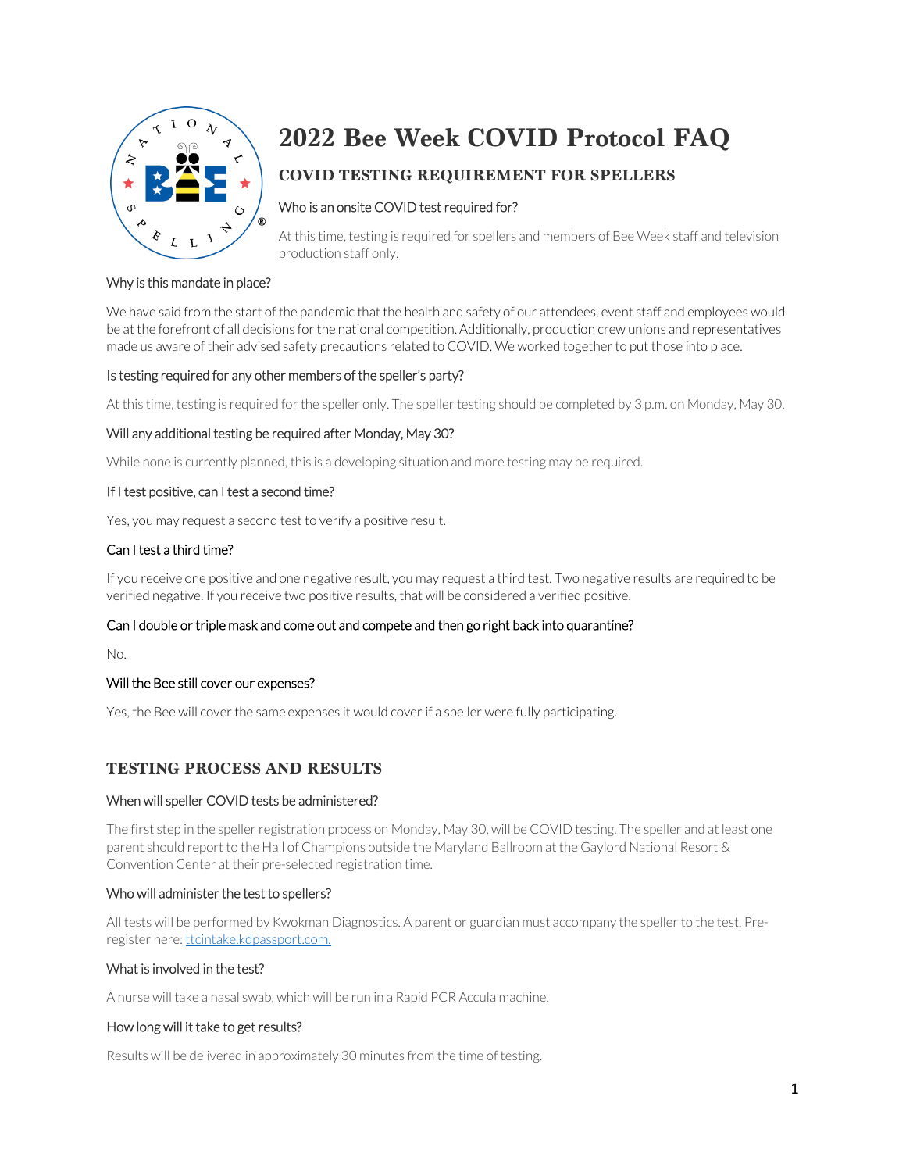

# **2022 Bee Week COVID Protocol FAQ**

## **COVID TESTING REQUIREMENT FOR SPELLERS**

## Who is an onsite COVID test required for?

At this time, testing is required for spellers and members of Bee Week staff and television production staff only.

#### Why is this mandate in place?

We have said from the start of the pandemic that the health and safety of our attendees, event staff and employees would be at the forefront of all decisions for the national competition. Additionally, production crew unions and representatives made us aware of their advised safety precautions related to COVID. We worked together to put those into place.

#### Is testing required for any other members of the speller's party?

At this time, testing is required for the speller only. The speller testing should be completed by 3 p.m. on Monday, May 30.

#### Will any additional testing be required after Monday, May 30?

While none is currently planned, this is a developing situation and more testing may be required.

#### If I test positive, can I test a second time?

Yes, you may request a second test to verify a positive result.

## Can I test a third time?

If you receive one positive and one negative result, you may request a third test. Two negative results are required to be verified negative. If you receive two positive results, that will be considered a verified positive.

#### Can I double or triple mask and come out and compete and then go right back into quarantine?

No.

#### Will the Bee still cover our expenses?

Yes, the Bee will cover the same expenses it would cover if a speller were fully participating.

## **TESTING PROCESS AND RESULTS**

#### When will speller COVID tests be administered?

The first step in the speller registration process on Monday, May 30, will be COVID testing. The speller and at least one parent should report to the Hall of Champions outside the Maryland Ballroom at the Gaylord National Resort & Convention Center at their pre-selected registration time.

#### Who will administer the test to spellers?

All tests will be performed by Kwokman Diagnostics. A parent or guardian must accompany the speller to the test. Preregister here: ttcintake.kdpassport.com.

#### What is involved in the test?

A nurse will take a nasal swab, which will be run in a Rapid PCR Accula machine.

#### How long will it take to get results?

Results will be delivered in approximately 30 minutes from the time of testing.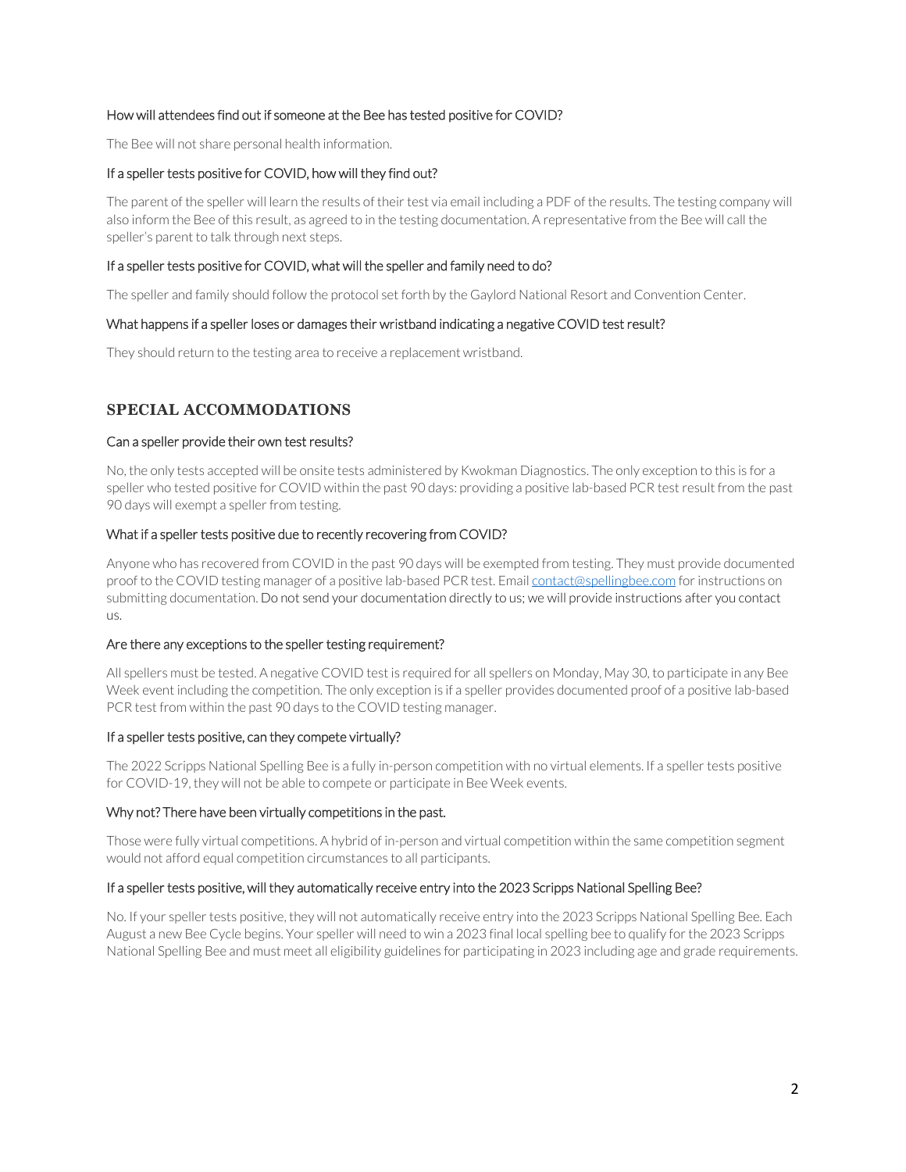#### How will attendees find out if someone at the Bee has tested positive for COVID?

The Bee will not share personal health information.

#### If a speller tests positive for COVID, how will they find out?

The parent of the speller will learn the results of their test via email including a PDF of the results. The testing company will also inform the Bee of this result, as agreed to in the testing documentation. A representative from the Bee will call the speller's parent to talk through next steps.

#### If a speller tests positive for COVID, what will the speller and family need to do?

The speller and family should follow the protocol set forth by the Gaylord National Resort and Convention Center.

#### What happens if a speller loses or damages their wristband indicating a negative COVID test result?

They should return to the testing area to receive a replacement wristband.

## **SPECIAL ACCOMMODATIONS**

#### Can a speller provide their own test results?

No, the only tests accepted will be onsite tests administered by Kwokman Diagnostics. The only exception to this is for a speller who tested positive for COVID within the past 90 days: providing a positive lab-based PCR test result from the past 90 days will exempt a speller from testing.

#### What if a speller tests positive due to recently recovering from COVID?

Anyone who has recovered from COVID in the past 90 days will be exempted from testing. They must provide documented proof to the COVID testing manager of a positive lab-based PCR test. Emai[l contact@spellingbee.com](mailto:contact@spellingbee.com) for instructions on submitting documentation. Do not send your documentation directly to us; we will provide instructions after you contact us.

#### Are there any exceptions to the speller testing requirement?

All spellers must be tested. A negative COVID test is required for all spellers on Monday, May 30, to participate in any Bee Week event including the competition. The only exception is if a speller provides documented proof of a positive lab-based PCR test from within the past 90 days to the COVID testing manager.

#### If a speller tests positive, can they compete virtually?

The 2022 Scripps National Spelling Bee is a fully in-person competition with no virtual elements. If a speller tests positive for COVID-19, they will not be able to compete or participate in Bee Week events.

#### Why not? There have been virtually competitions in the past.

Those were fully virtual competitions. A hybrid of in-person and virtual competition within the same competition segment would not afford equal competition circumstances to all participants.

#### If a speller tests positive, will they automatically receive entry into the 2023 Scripps National Spelling Bee?

No. If your speller tests positive, they will not automatically receive entry into the 2023 Scripps National Spelling Bee. Each August a new Bee Cycle begins. Your speller will need to win a 2023 final local spelling bee to qualify for the 2023 Scripps National Spelling Bee and must meet all eligibility guidelines for participating in 2023 including age and grade requirements.